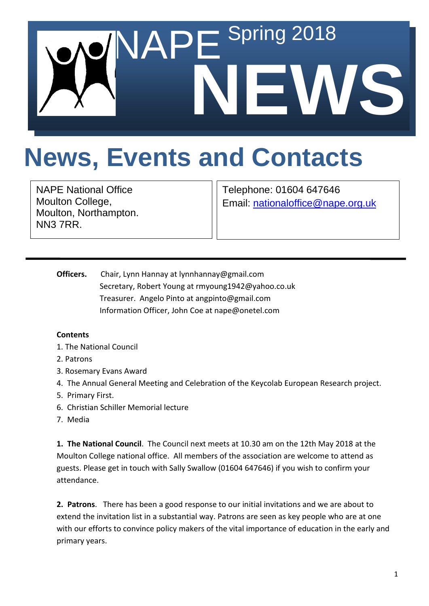

## **News, Events and Contacts**

NAPE National Office Moulton College, Moulton, Northampton. NN3 7RR.

Telephone: 01604 647646 Email: [nationaloffice@nape.org.uk](mailto:nationaloffice@nape.org.uk)

**Officers.** Chair, Lynn Hannay at lynnhannay@gmail.com Secretary, Robert Young at rmyoung1942@yahoo.co.uk Treasurer. Angelo Pinto at angpinto@gmail.com Information Officer, John Coe at nape@onetel.com

## **Contents**

- 1. The National Council
- 2. Patrons
- 3. Rosemary Evans Award
- 4. The Annual General Meeting and Celebration of the Keycolab European Research project.
- 5. Primary First.
- 6. Christian Schiller Memorial lecture
- 7. Media

**1. The National Council**. The Council next meets at 10.30 am on the 12th May 2018 at the Moulton College national office. All members of the association are welcome to attend as guests. Please get in touch with Sally Swallow (01604 647646) if you wish to confirm your attendance.

**2. Patrons**. There has been a good response to our initial invitations and we are about to extend the invitation list in a substantial way. Patrons are seen as key people who are at one with our efforts to convince policy makers of the vital importance of education in the early and primary years.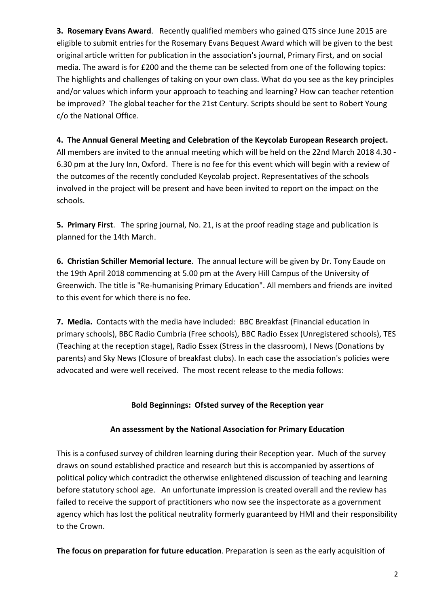**3. Rosemary Evans Award**. Recently qualified members who gained QTS since June 2015 are eligible to submit entries for the Rosemary Evans Bequest Award which will be given to the best original article written for publication in the association's journal, Primary First, and on social media. The award is for £200 and the theme can be selected from one of the following topics: The highlights and challenges of taking on your own class. What do you see as the key principles and/or values which inform your approach to teaching and learning? How can teacher retention be improved? The global teacher for the 21st Century. Scripts should be sent to Robert Young c/o the National Office.

**4. The Annual General Meeting and Celebration of the Keycolab European Research project.** All members are invited to the annual meeting which will be held on the 22nd March 2018 4.30 - 6.30 pm at the Jury Inn, Oxford. There is no fee for this event which will begin with a review of the outcomes of the recently concluded Keycolab project. Representatives of the schools involved in the project will be present and have been invited to report on the impact on the schools.

**5. Primary First**. The spring journal, No. 21, is at the proof reading stage and publication is planned for the 14th March.

**6. Christian Schiller Memorial lecture**. The annual lecture will be given by Dr. Tony Eaude on the 19th April 2018 commencing at 5.00 pm at the Avery Hill Campus of the University of Greenwich. The title is "Re-humanising Primary Education". All members and friends are invited to this event for which there is no fee.

**7. Media.** Contacts with the media have included: BBC Breakfast (Financial education in primary schools), BBC Radio Cumbria (Free schools), BBC Radio Essex (Unregistered schools), TES (Teaching at the reception stage), Radio Essex (Stress in the classroom), I News (Donations by parents) and Sky News (Closure of breakfast clubs). In each case the association's policies were advocated and were well received. The most recent release to the media follows:

## **Bold Beginnings: Ofsted survey of the Reception year**

## **An assessment by the National Association for Primary Education**

This is a confused survey of children learning during their Reception year. Much of the survey draws on sound established practice and research but this is accompanied by assertions of political policy which contradict the otherwise enlightened discussion of teaching and learning before statutory school age. An unfortunate impression is created overall and the review has failed to receive the support of practitioners who now see the inspectorate as a government agency which has lost the political neutrality formerly guaranteed by HMI and their responsibility to the Crown.

**The focus on preparation for future education**. Preparation is seen as the early acquisition of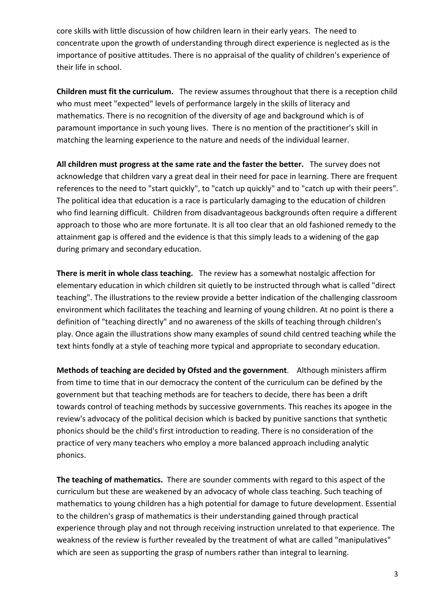core skills with little discussion of how children learn in their early years. The need to concentrate upon the growth of understanding through direct experience is neglected as is the importance of positive attitudes. There is no appraisal of the quality of children's experience of their life in school.

**Children must fit the curriculum.** The review assumes throughout that there is a reception child who must meet "expected" levels of performance largely in the skills of literacy and mathematics. There is no recognition of the diversity of age and background which is of paramount importance in such young lives. There is no mention of the practitioner's skill in matching the learning experience to the nature and needs of the individual learner.

**All children must progress at the same rate and the faster the better.** The survey does not acknowledge that children vary a great deal in their need for pace in learning. There are frequent references to the need to "start quickly", to "catch up quickly" and to "catch up with their peers". The political idea that education is a race is particularly damaging to the education of children who find learning difficult. Children from disadvantageous backgrounds often require a different approach to those who are more fortunate. It is all too clear that an old fashioned remedy to the attainment gap is offered and the evidence is that this simply leads to a widening of the gap during primary and secondary education.

**There is merit in whole class teaching.** The review has a somewhat nostalgic affection for elementary education in which children sit quietly to be instructed through what is called "direct teaching". The illustrations to the review provide a better indication of the challenging classroom environment which facilitates the teaching and learning of young children. At no point is there a definition of "teaching directly" and no awareness of the skills of teaching through children's play. Once again the illustrations show many examples of sound child centred teaching while the text hints fondly at a style of teaching more typical and appropriate to secondary education.

**Methods of teaching are decided by Ofsted and the government**. Although ministers affirm from time to time that in our democracy the content of the curriculum can be defined by the government but that teaching methods are for teachers to decide, there has been a drift towards control of teaching methods by successive governments. This reaches its apogee in the review's advocacy of the political decision which is backed by punitive sanctions that synthetic phonics should be the child's first introduction to reading. There is no consideration of the practice of very many teachers who employ a more balanced approach including analytic phonics.

**The teaching of mathematics.** There are sounder comments with regard to this aspect of the curriculum but these are weakened by an advocacy of whole class teaching. Such teaching of mathematics to young children has a high potential for damage to future development. Essential to the children's grasp of mathematics is their understanding gained through practical experience through play and not through receiving instruction unrelated to that experience. The weakness of the review is further revealed by the treatment of what are called "manipulatives" which are seen as supporting the grasp of numbers rather than integral to learning.